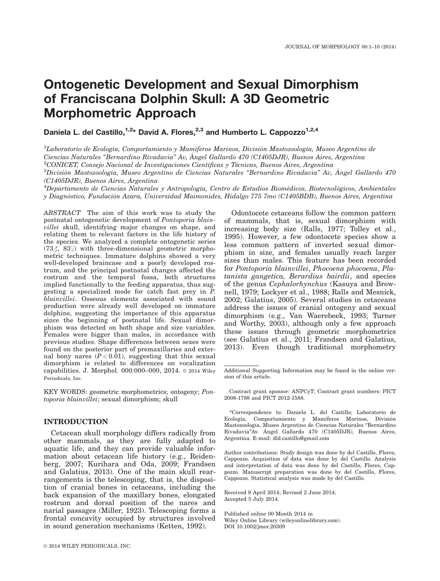# Ontogenetic Development and Sexual Dimorphism of Franciscana Dolphin Skull: A 3D Geometric Morphometric Approach

Daniela L. del Castillo,<sup>1,2\*</sup> David A. Flores,<sup>2,3</sup> and Humberto L. Cappozzo<sup>1,2,4</sup>

 $^1$ Laboratorio de Ecología, Comportamiento y Mamíferos Marinos, División Mastozoología, Museo Argentino de Ciencias Naturales "Bernardino Rivadavia" Av, Angel Gallardo 470 (C1405DJR), Buenos Aires, Argentina - <sup>2</sup>CONICET, Consejo Nacional de Investigaciones Científicas y Técnicas, Buenos Aires, Argentina<br><sup>3</sup>División, Masteceología, Muese, Argentine de Cienciae, Naturales "Bernardine, Binadavia", Av

.<br>División Mastozoología, Museo Argentino de Ciencias Naturales "Bernardino Rivadavia" Av, Ángel Gallardo 470 (C1405DJR), Buenos Aires, Argentina

<sup>4</sup>Departamento de Ciencias Naturales y Antropología, Centro de Estudios Biomédicos, Biotecnológicos, Ambientales y Diagnóstico, Fundación Azara, Universidad Maimonides, Hidalgo 775 7mo (C1405BDB), Buenos Aires, Argentina

ABSTRACT The aim of this work was to study the postnatal ontogenetic development of Pontoporia blainvillei skull, identifying major changes on shape, and relating them to relevant factors in the life history of the species. We analyzed a complete ontogenetic series  $(73\text{Å}, 83\text{%)}$  with three-dimensional geometric morphometric techniques. Immature dolphins showed a very well-developed braincase and a poorly developed rostrum, and the principal postnatal changes affected the rostrum and the temporal fossa, both structures implied functionally to the feeding apparatus, thus suggesting a specialized mode for catch fast prey in P. blainvillei. Osseous elements associated with sound production were already well developed on immature dolphins, suggesting the importance of this apparatus since the beginning of postnatal life. Sexual dimorphism was detected on both shape and size variables. Females were bigger than males, in accordance with previous studies. Shape differences between sexes were found on the posterior part of premaxillaries and external bony nares  $(P < 0.01)$ , suggesting that this sexual dimorphism is related to differences on vocalization capabilities. J. Morphol. 000:000-000, 2014. © 2014 Wiley Periodicals, Inc.

KEY WORDS: geometric morphometrics; ontogeny; Pontoporia blainvillei; sexual dimorphism; skull

# INTRODUCTION

Cetacean skull morphology differs radically from other mammals, as they are fully adapted to aquatic life, and they can provide valuable information about cetacean life history (e.g., Reidenberg, 2007; Kurihara and Oda, 2009; Frandsen and Galatius, 2013). One of the main skull rearrangements is the telescoping, that is, the disposition of cranial bones in cetaceans, including the back expansion of the maxillary bones, elongated rostrum and dorsal position of the nares and narial passages (Miller, 1923). Telescoping forms a frontal concavity occupied by structures involved in sound generation mechanisms (Ketten, 1992).

 $@$  2014 WILEY PERIODICALS, INC.

Odontocete cetaceans follow the common pattern of mammals, that is, sexual dimorphism with increasing body size (Ralls, 1977; Tolley et al., 1995). However, a few odontocete species show a less common pattern of inverted sexual dimorphism in size, and females usually reach larger sizes than males. This feature has been recorded for Pontoporia blainvillei, Phocoena phocoena, Platanista gangetica, Berardius bairdii, and species of the genus Cephalorhynchus (Kasuya and Brownell, 1979; Lockyer et al., 1988; Ralls and Mesnick, 2002; Galatius, 2005). Several studies in cetaceans address the issues of cranial ontogeny and sexual dimorphism (e.g., Van Waerebeek, 1993; Turner and Worthy, 2003), although only a few approach these issues through geometric morphometrics (see Galatius et al., 2011; Frandsen and Galatius, 2013). Even though traditional morphometry

Contract grant sponsor: ANPCyT; Contract grant numbers: PICT 2008-1798 and PICT 2012-1588.

\*Correspondence to: Daniela L. del Castillo; Laboratorio de Ecología, Comportamiento y Mamíferos Marinos, División Mastozoología, Museo Argentino de Ciencias Naturales "Bernardino Rivadavia"Av. Angel Gallardo 470 (C1405DJR), Buenos Aires, - Argentina. E-mail: dld.castillo@gmail.com

Author contributions: Study design was done by del Castillo, Flores, Cappozzo. Acquisition of data was done by del Castillo. Analysis and interpretation of data was done by del Castillo, Flores, Cappozzo. Manuscript preparation was done by del Castillo, Flores, Cappozzo. Statistical analysis was made by del Castillo.

Received 9 April 2014; Revised 2 June 2014; Accepted 5 July 2014.

Published online 00 Month 2014 in Wiley Online Library (wileyonlinelibrary.com). DOI 10.1002/jmor.20309

Additional Supporting Information may be found in the online version of this article.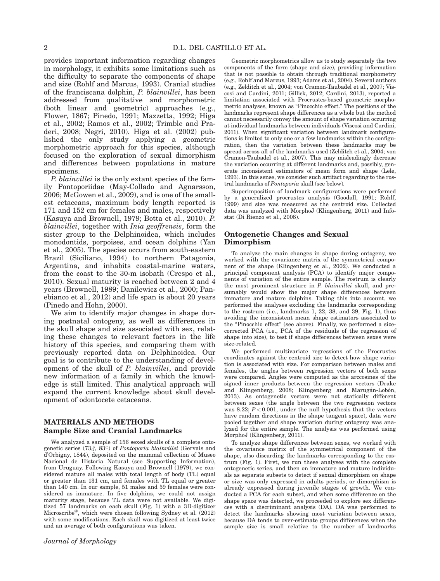provides important information regarding changes in morphology, it exhibits some limitations such as the difficulty to separate the components of shape and size (Rohlf and Marcus, 1993). Cranial studies of the franciscana dolphin, P. blainvillei, has been addressed from qualitative and morphometric (both linear and geometric) approaches (e.g., Flower, 1867; Pinedo, 1991; Mazzetta, 1992; Higa et al., 2002; Ramos et al., 2002; Trimble and Praderi, 2008; Negri, 2010). Higa et al. (2002) published the only study applying a geometric morphometric approach for this species, although focused on the exploration of sexual dimorphism and differences between populations in mature specimens.

P. blainvillei is the only extant species of the family Pontoporiidae (May-Collado and Agnarsson, 2006; McGowen et al., 2009), and is one of the smallest cetaceans, maximum body length reported is 171 and 152 cm for females and males, respectively (Kasuya and Brownell, 1979; Botta et al., 2010). P. blainvillei, together with Inia geoffrensis, form the sister group to the Delphinoidea, which includes monodontids, porpoises, and ocean dolphins (Yan et al., 2005). The species occurs from south-eastern Brazil (Siciliano, 1994) to northern Patagonia, Argentina, and inhabits coastal-marine waters, from the coast to the 30-m isobath (Crespo et al., 2010). Sexual maturity is reached between 2 and 4 years (Brownell, 1989; Danilewicz et al., 2000; Panebianco et al., 2012) and life span is about 20 years (Pinedo and Hohn, 2000).

We aim to identify major changes in shape during postnatal ontogeny, as well as differences in the skull shape and size associated with sex, relating these changes to relevant factors in the life history of this species, and comparing them with previously reported data on Delphinoidea. Our goal is to contribute to the understanding of development of the skull of P. blainvillei, and provide new information of a family in which the knowledge is still limited. This analytical approach will expand the current knowledge about skull development of odontocete cetaceans.

# MATERIALS AND METHODS Sample Size and Cranial Landmarks

We analyzed a sample of 156 sexed skulls of a complete ontogenetic series (73 $\lambda$ , 83 $\Omega$ ) of *Pontoporia blainvillei* (Gervais and d'Orbigny, 1844), deposited on the mammal collection of Museo Nacional de Historia Natural (see Supporting Information), from Uruguay. Following Kasuya and Brownell (1979), we considered mature all males with total length of body (TL) equal or greater than 131 cm, and females with TL equal or greater than 140 cm. In our sample, 51 males and 59 females were considered as immature. In five dolphins, we could not assign maturity stage, because TL data were not available. We digitized 57 landmarks on each skull (Fig. 1) with a 3D-digitizer Microscribe<sup>®</sup>, which were chosen following Sydney et al.  $(2012)$ with some modifications. Each skull was digitized at least twice and an average of both configurations was taken.

Geometric morphometrics allow us to study separately the two components of the form (shape and size), providing information that is not possible to obtain through traditional morphometry (e.g., Rohlf and Marcus, 1993; Adams et al., 2004). Several authors (e.g., Zelditch et al., 2004; von Cramon-Taubadel et al., 2007; Viscosi and Cardini, 2011; Gillick, 2012; Cardini, 2013), reported a limitation associated with Procrustes-based geometric morphometric analyses, known as "Pinocchio effect." The positions of the landmarks represent shape differences as a whole but the method cannot necessarily convey the amount of shape variation occurring at individual landmarks between individuals (Viscosi and Cardini, 2011). When significant variation between landmark configurations is limited to only one or a few landmarks within the configuration, then the variation between these landmarks may be spread across all of the landmarks used (Zelditch et al., 2004; von Cramon-Taubadel et al., 2007). This may misleadingly decrease the variation occurring at different landmarks and, possibly, generate inconsistent estimators of mean form and shape (Lele, 1993). In this sense, we consider such artifact regarding to the rostral landmarks of Pontoporia skull (see below).

Superimposition of landmark configurations were performed by a generalized procrustes analysis (Goodall, 1991; Rohlf, 1999) and size was measured as the centroid size. Collected data was analyzed with MorphoJ (Klingenberg, 2011) and Infostat (Di Rienzo et al., 2008).

## Ontogenetic Changes and Sexual Dimorphism

To analyze the main changes in shape during ontogeny, we worked with the covariance matrix of the symmetrical component of the shape (Klingenberg et al., 2002). We conducted a principal component analysis (PCA) to identify major components of variation of the entire sample. The rostrum is clearly the most prominent structure in P. blainvillei skull, and presumably would show the major shape differences between immature and mature dolphins. Taking this into account, we performed the analyses excluding the landmarks corresponding to the rostrum (i.e., landmarks 1, 22, 38, and 39, Fig. 1), thus avoiding the inconsistent mean shape estimators associated to the "Pinocchio effect" (see above). Finally, we performed a sizecorrected PCA (i.e., PCA of the residuals of the regression of shape into size), to test if shape differences between sexes were size-related.

We performed multivariate regressions of the Procrustes coordinates against the centroid size to detect how shape variation is associated with size. For comparison between males and females, the angles between regression vectors of both sexes were compared. Angles were computed as the arccosines of the signed inner products between the regression vectors (Drake and Klingenberg, 2008; Klingenberg and Marugán-Lobón, 2013). As ontogenetic vectors were not statically different between sexes (the angle between the two regression vectors was 8.22;  $P < 0.001$ , under the null hypothesis that the vectors have random directions in the shape tangent space), data were pooled together and shape variation during ontogeny was analyzed for the entire sample. The analysis was performed using MorphoJ (Klingenberg, 2011).

To analyze shape differences between sexes, we worked with the covariance matrix of the symmetrical component of the shape, also discarding the landmarks corresponding to the rostrum (Fig. 1). First, we run these analyses with the complete ontogenetic series, and then on immature and mature individuals as separate subsets to detect if sexual dimorphism on shape or size was only expressed in adults periods, or dimorphism is already expressed during juvenile stages of growth. We conducted a PCA for each subset, and when some difference on the shape space was detected, we proceeded to explore sex differences with a discriminant analysis (DA). DA was performed to detect the landmarks showing most variation between sexes, because DA tends to over-estimate groups differences when the sample size is small relative to the number of landmarks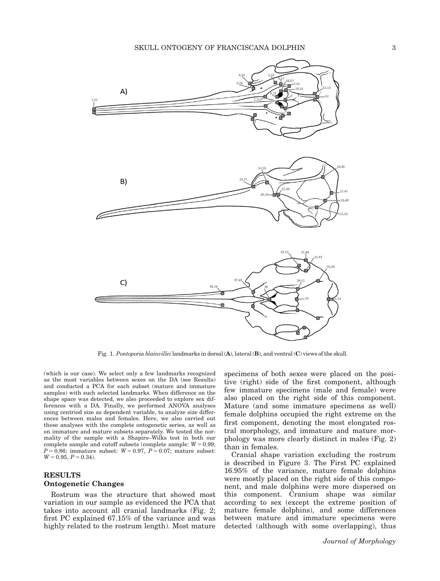

Fig. 1. Pontoporia blainvillei landmarks in dorsal (A), lateral (B), and ventral (C) views of the skull.

(which is our case). We select only a few landmarks recognized as the most variables between sexes on the DA (see Results) and conducted a PCA for each subset (mature and immature samples) with such selected landmarks. When difference on the shape space was detected, we also proceeded to explore sex differences with a DA. Finally, we performed ANOVA analyses using centriod size as dependent variable, to analyze size differences between males and females. Here, we also carried out these analyses with the complete ontogenetic series, as well as on immature and mature subsets separately. We tested the normality of the sample with a Shapiro–Wilks test in both our complete sample and cutoff subsets (complete sample:  $W = 0.99$ ,  $P = 0.86$ ; immature subset:  $W = 0.97$ ,  $P = 0.07$ ; mature subset:  $W = 0.95, P = 0.34.$ 

# RESULTS Ontogenetic Changes

Rostrum was the structure that showed most variation in our sample as evidenced the PCA that takes into account all cranial landmarks (Fig. 2; first PC explained 67.15% of the variance and was highly related to the rostrum length). Most mature

specimens of both sexes were placed on the positive (right) side of the first component, although few immature specimens (male and female) were also placed on the right side of this component. Mature (and some immature specimens as well) female dolphins occupied the right extreme on the first component, denoting the most elongated rostral morphology, and immature and mature morphology was more clearly distinct in males (Fig. 2) than in females.

Cranial shape variation excluding the rostrum is described in Figure 3. The First PC explained 16.95% of the variance, mature female dolphins were mostly placed on the right side of this component, and male dolphins were more dispersed on this component. Cranium shape was similar according to sex (except the extreme position of mature female dolphins), and some differences between mature and immature specimens were detected (although with some overlapping), thus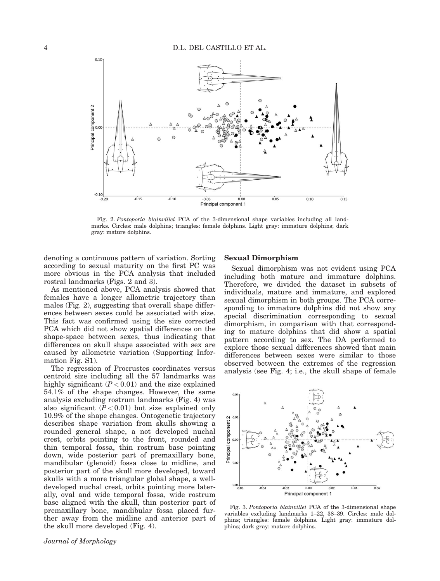

Fig. 2. Pontoporia blainvillei PCA of the 3-dimensional shape variables including all landmarks. Circles: male dolphins; triangles: female dolphins. Light gray: immature dolphins; dark gray: mature dolphins.

denoting a continuous pattern of variation. Sorting according to sexual maturity on the first PC was more obvious in the PCA analysis that included rostral landmarks (Figs. 2 and 3).

As mentioned above, PCA analysis showed that females have a longer allometric trajectory than males (Fig. 2), suggesting that overall shape differences between sexes could be associated with size. This fact was confirmed using the size corrected PCA which did not show spatial differences on the shape-space between sexes, thus indicating that differences on skull shape associated with sex are caused by allometric variation (Supporting Information Fig. S1).

The regression of Procrustes coordinates versus centroid size including all the 57 landmarks was highly significant  $(P < 0.01)$  and the size explained 54.1% of the shape changes. However, the same analysis excluding rostrum landmarks (Fig. 4) was also significant  $(P < 0.01)$  but size explained only 10.9% of the shape changes. Ontogenetic trajectory describes shape variation from skulls showing a rounded general shape, a not developed nuchal crest, orbits pointing to the front, rounded and thin temporal fossa, thin rostrum base pointing down, wide posterior part of premaxillary bone, mandibular (glenoid) fossa close to midline, and posterior part of the skull more developed, toward skulls with a more triangular global shape, a welldeveloped nuchal crest, orbits pointing more laterally, oval and wide temporal fossa, wide rostrum base aligned with the skull, thin posterior part of premaxillary bone, mandibular fossa placed further away from the midline and anterior part of the skull more developed (Fig. 4).

# Sexual Dimorphism

Sexual dimorphism was not evident using PCA including both mature and immature dolphins. Therefore, we divided the dataset in subsets of individuals, mature and immature, and explored sexual dimorphism in both groups. The PCA corresponding to immature dolphins did not show any special discrimination corresponding to sexual dimorphism, in comparison with that corresponding to mature dolphins that did show a spatial pattern according to sex. The DA performed to explore those sexual differences showed that main differences between sexes were similar to those observed between the extremes of the regression analysis (see Fig. 4; i.e., the skull shape of female



Fig. 3. Pontoporia blainvillei PCA of the 3-dimensional shape variables excluding landmarks 1–22, 38–39. Circles: male dolphins; triangles: female dolphins. Light gray: immature dolphins; dark gray: mature dolphins.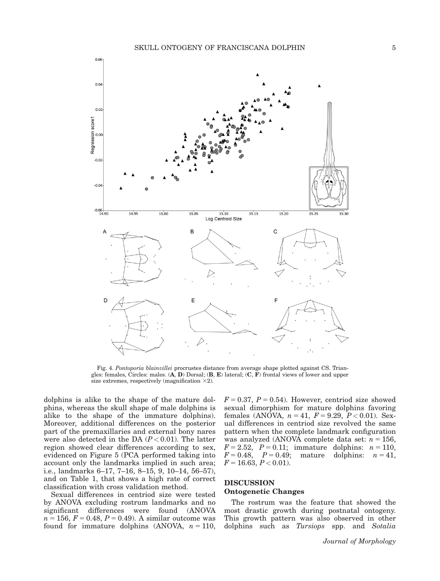

Fig. 4. Pontoporia blainvillei procrustes distance from average shape plotted against CS. Triangles: females, Circles: males.  $(A, D)$  Dorsal;  $(B, E)$  lateral;  $(C, F)$  frontal views of lower and upper size extremes, respectively (magnification  $\times 2$ ).

dolphins is alike to the shape of the mature dolphins, whereas the skull shape of male dolphins is alike to the shape of the immature dolphins). Moreover, additional differences on the posterior part of the premaxillaries and external bony nares were also detected in the DA  $(P<0.01)$ . The latter region showed clear differences according to sex, evidenced on Figure 5 (PCA performed taking into account only the landmarks implied in such area; i.e., landmarks 6–17, 7–16, 8–15, 9, 10–14, 56–57), and on Table 1, that shows a high rate of correct classification with cross validation method.

Sexual differences in centriod size were tested by ANOVA excluding rostrum landmarks and no significant differences were found (ANOVA  $n = 156, F = 0.48, P = 0.49$ . A similar outcome was found for immature dolphins (ANOVA,  $n = 110$ ,  $F = 0.37$ ,  $P = 0.54$ ). However, centriod size showed sexual dimorphism for mature dolphins favoring females (ANOVA,  $n = 41$ ,  $F = 9.29$ ,  $P < 0.01$ ). Sexual differences in centriod size revolved the same pattern when the complete landmark configuration was analyzed (ANOVA complete data set:  $n = 156$ ,  $F = 2.52$ ,  $P = 0.11$ ; immature dolphins:  $n = 110$ ,<br> $F = 0.48$ ,  $P = 0.49$ ; mature dolphins:  $n = 41$ , mature dolphins:  $n = 41$ ,  $F = 16.63, P < 0.01$ .

# DISCUSSION Ontogenetic Changes

The rostrum was the feature that showed the most drastic growth during postnatal ontogeny. This growth pattern was also observed in other dolphins such as Tursiops spp. and Sotalia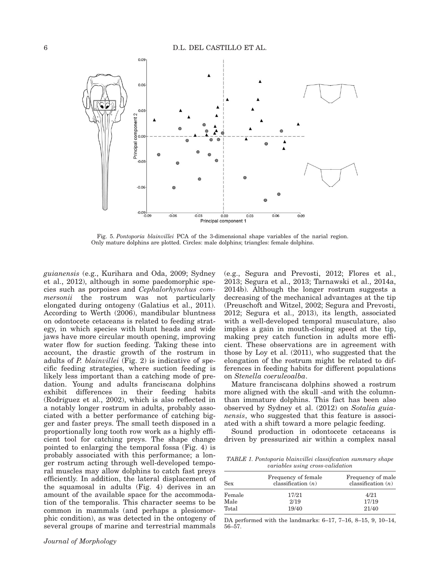

Fig. 5. Pontoporia blainvillei PCA of the 3-dimensional shape variables of the narial region. Only mature dolphins are plotted. Circles: male dolphins; triangles: female dolphins.

guianensis (e.g., Kurihara and Oda, 2009; Sydney et al., 2012), although in some paedomorphic species such as porpoises and Cephalorhynchus commersonii the rostrum was not particularly elongated during ontogeny (Galatius et al., 2011). According to Werth (2006), mandibular bluntness on odontocete cetaceans is related to feeding strategy, in which species with blunt heads and wide jaws have more circular mouth opening, improving water flow for suction feeding. Taking these into account, the drastic growth of the rostrum in adults of P. blainvillei (Fig. 2) is indicative of specific feeding strategies, where suction feeding is likely less important than a catching mode of predation. Young and adults franciscana dolphins exhibit differences in their feeding habits (Rodríguez et al., 2002), which is also reflected in a notably longer rostrum in adults, probably associated with a better performance of catching bigger and faster preys. The small teeth disposed in a proportionally long tooth row work as a highly efficient tool for catching preys. The shape change pointed to enlarging the temporal fossa (Fig. 4) is probably associated with this performance; a longer rostrum acting through well-developed temporal muscles may allow dolphins to catch fast preys efficiently. In addition, the lateral displacement of the squamosal in adults (Fig. 4) derives in an amount of the available space for the accommodation of the temporalis. This character seems to be common in mammals (and perhaps a plesiomorphic condition), as was detected in the ontogeny of several groups of marine and terrestrial mammals

(e.g., Segura and Prevosti, 2012; Flores et al., 2013; Segura et al., 2013; Tarnawski et al., 2014a, 2014b). Although the longer rostrum suggests a decreasing of the mechanical advantages at the tip (Preuschoft and Witzel, 2002; Segura and Prevosti, 2012; Segura et al., 2013), its length, associated with a well-developed temporal musculature, also implies a gain in mouth-closing speed at the tip, making prey catch function in adults more efficient. These observations are in agreement with those by Loy et al. (2011), who suggested that the elongation of the rostrum might be related to differences in feeding habits for different populations on Stenella coeruleoalba.

Mature franciscana dolphins showed a rostrum more aligned with the skull -and with the columnthan immature dolphins. This fact has been also observed by Sydney et al. (2012) on Sotalia guianensis, who suggested that this feature is associated with a shift toward a more pelagic feeding.

Sound production in odontocete cetaceans is driven by pressurized air within a complex nasal

TABLE 1. Pontoporia blainvillei classification summary shape variables using cross-validation

| <b>Sex</b> | Frequency of female<br>classification $(n)$ | Frequency of male<br>classification $(n)$ |
|------------|---------------------------------------------|-------------------------------------------|
| Female     | 17/21                                       | 4/21                                      |
| Male       | 2/19                                        | 17/19                                     |
| Total      | 19/40                                       | 21/40                                     |

DA performed with the landmarks: 6–17, 7–16, 8–15, 9, 10–14, 56–57.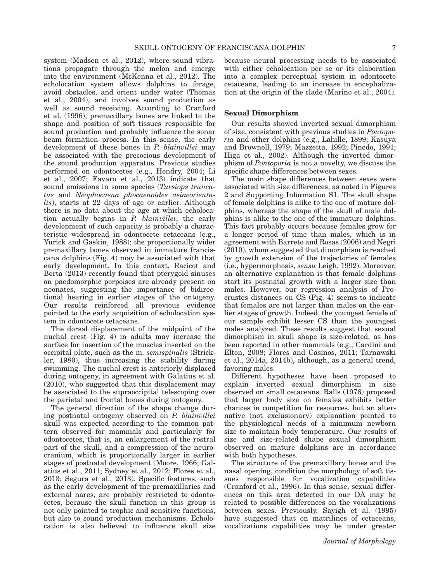system (Madsen et al., 2012), where sound vibrations propagate through the melon and emerge into the environment (McKenna et al., 2012). The echolocation system allows dolphins to forage, avoid obstacles, and orient under water (Thomas et al., 2004), and involves sound production as well as sound receiving. According to Cranford et al. (1996), premaxillary bones are linked to the shape and position of soft tissues responsible for sound production and probably influence the sonar beam formation process. In this sense, the early development of these bones in P. blainvillei may be associated with the precocious development of the sound production apparatus. Previous studies performed on odontocetes (e.g., Hendry, 2004; Li et al., 2007; Favaro et al., 2013) indicate that sound emissions in some species (Tursiops truncatus and Neophocaena phocaenoides asiaeorientalis), starts at 22 days of age or earlier. Although there is no data about the age at which echolocation actually begins in P. blainvillei, the early development of such capacity is probably a characteristic widespread in odontocete cetaceans (e.g., Yurick and Gaskin, 1988); the proportionally wider premaxillary bones observed in immature franciscana dolphins (Fig. 4) may be associated with that early development. In this context, Racicot and Berta (2013) recently found that pterygoid sinuses on paedomorphic porpoises are already present on neonates, suggesting the importance of bidirectional hearing in earlier stages of the ontogeny. Our results reinforced all previous evidence pointed to the early acquisition of echolocation system in odontocete cetaceans.

The dorsal displacement of the midpoint of the nuchal crest (Fig. 4) in adults may increase the surface for insertion of the muscles inserted on the occipital plate, such as the m. semispinalis (Strickler, 1980), thus increasing the stability during swimming. The nuchal crest is anteriorly displaced during ontogeny, in agreement with Galatius et al. (2010), who suggested that this displacement may be associated to the supraoccipital telescoping over the parietal and frontal bones during ontogeny.

The general direction of the shape change during postnatal ontogeny observed on P. blainvillei skull was expected according to the common pattern observed for mammals and particularly for odontocetes, that is, an enlargement of the rostral part of the skull, and a compression of the neurocranium, which is proportionally larger in earlier stages of postnatal development (Moore, 1966; Galatius et al., 2011; Sydney et al., 2012; Flores et al., 2013; Segura et al., 2013). Specific features, such as the early development of the premaxillaries and external nares, are probably restricted to odontocetes, because the skull function in this group is not only pointed to trophic and sensitive functions, but also to sound production mechanisms. Echolocation is also believed to influence skull size because neural processing needs to be associated with either echolocation per se or its elaboration into a complex perceptual system in odontocete cetaceans, leading to an increase in encephalization at the origin of the clade (Marino et al., 2004).

#### Sexual Dimorphism

Our results showed inverted sexual dimorphism of size, consistent with previous studies in Pontoporia and other dolphins (e.g., Lahille, 1899; Kasuya and Brownell, 1979; Mazzetta, 1992; Pinedo, 1991; Higa et al., 2002). Although the inverted dimorphism of Pontoporia is not a novelty, we discuss the specific shape differences between sexes.

The main shape differences between sexes were associated with size differences, as noted in Figures 2 and Supporting Information S1. The skull shape of female dolphins is alike to the one of mature dolphins, whereas the shape of the skull of male dolphins is alike to the one of the immature dolphins. This fact probably occurs because females grow for a longer period of time than males, which is in agreement with Barreto and Rosas (2006) and Negri (2010), whom suggested that dimorphism is reached by growth extension of the trajectories of females (i.e., hypermorphosis, sensu Leigh, 1992). Moreover, an alternative explanation is that female dolphins start its postnatal growth with a larger size than males. However, our regression analysis of Procrustes distances on CS (Fig. 4) seems to indicate that females are not larger than males on the earlier stages of growth. Indeed, the youngest female of our sample exhibit lesser CS than the youngest males analyzed. These results suggest that sexual dimorphism in skull shape is size-related, as has been reported in other mammals (e.g., Cardini and Elton, 2008; Flores and Casinos, 2011; Tarnawski et al., 2014a, 2014b), although, as a general trend, favoring males.

Different hypotheses have been proposed to explain inverted sexual dimorphism in size observed on small cetaceans. Ralls (1976) proposed that larger body size on females exhibits better chances in competition for resources, but an alternative (not exclusionary) explanation pointed to the physiological needs of a minimum newborn size to maintain body temperature. Our results of size and size-related shape sexual dimorphism observed on mature dolphins are in accordance with both hypotheses.

The structure of the premaxillary bones and the nasal opening, condition the morphology of soft tissues responsible for vocalization capabilities (Cranford et al., 1996). In this sense, sexual differences on this area detected in our DA may be related to possible differences on the vocalizations between sexes. Previously, Sayigh et al. (1995) have suggested that on matrilines of cetaceans, vocalizations capabilities may be under greater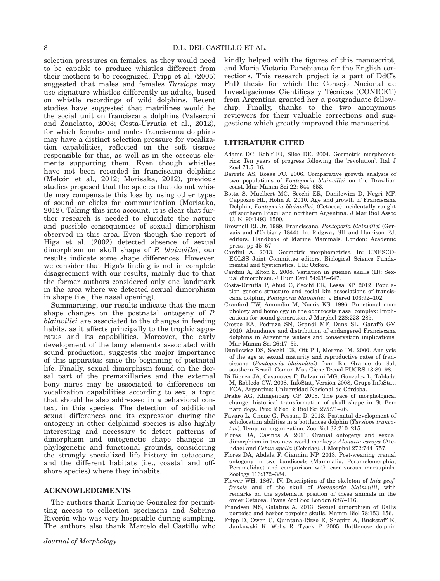selection pressures on females, as they would need to be capable to produce whistles different from their mothers to be recognized. Fripp et al. (2005) suggested that males and females Tursiops may use signature whistles differently as adults, based on whistle recordings of wild dolphins. Recent studies have suggested that matrilines would be the social unit on franciscana dolphins (Valsecchi and Zanelatto, 2003; Costa-Urrutia et al., 2012), for which females and males franciscana dolphins may have a distinct selection pressure for vocalization capabilities, reflected on the soft tissues responsible for this, as well as in the osseous elements supporting them. Even though whistles have not been recorded in franciscana dolphins (Melcón et al., 2012; Morisaka, 2012), previous studies proposed that the species that do not whistle may compensate this loss by using other types of sound or clicks for communication (Morisaka, 2012). Taking this into account, it is clear that further research is needed to elucidate the nature and possible consequences of sexual dimorphism observed in this area. Even though the report of Higa et al. (2002) detected absence of sexual dimorphism on skull shape of P. blainvillei, our results indicate some shape differences. However, we consider that Higa's finding is not in complete disagreement with our results, mainly due to that the former authors considered only one landmark in the area where we detected sexual dimorphism in shape (i.e., the nasal opening).

Summarizing, our results indicate that the main shape changes on the postnatal ontogeny of P. blainvillei are associated to the changes in feeding habits, as it affects principally to the trophic apparatus and its capabilities. Moreover, the early development of the bony elements associated with sound production, suggests the major importance of this apparatus since the beginning of postnatal life. Finally, sexual dimorphism found on the dorsal part of the premaxillaries and the external bony nares may be associated to differences on vocalization capabilities according to sex, a topic that should be also addressed in a behavioral context in this species. The detection of additional sexual differences and its expression during the ontogeny in other delphinid species is also highly interesting and necessary to detect patterns of dimorphism and ontogenetic shape changes in phylogenetic and functional grounds, considering the strongly specialized life history in cetaceans, and the different habitats (i.e., coastal and offshore species) where they inhabits.

## ACKNOWLEDGMENTS

The authors thank Enrique Gonzalez for permitting access to collection specimens and Sabrina Riverón who was very hospitable during sampling. The authors also thank Marcelo del Castillo who kindly helped with the figures of this manuscript, and María Victoria Panebianco for the English corrections. This research project is a part of DdC's PhD thesis for which the Consejo Nacional de Investigaciones Científicas y Técnicas (CONICET) from Argentina granted her a postgraduate fellowship. Finally, thanks to the two anonymous reviewers for their valuable corrections and suggestions which greatly improved this manuscript.

#### LITERATURE CITED

- Adams DC, Rohlf FJ, Slice DE. 2004. Geometric morphometrics: Ten years of progress following the 'revolution'. Ital J Zool 71:5–16.
- Barreto AS, Rosas FC. 2006. Comparative growth analysis of two populations of Pontoporia blainvillei on the Brazilian coast. Mar Mamm Sci 22: 644–653.
- Botta S, Muelbert MC, Secchi ER, Danilewicz D, Negri MF, Cappozzo HL, Hohn A. 2010. Age and growth of Franciscana Dolphin, Pontoporia blainvillei, (Cetacea) incidentally caught off southern Brazil and northern Argentina. J Mar Biol Assoc U. K. 90:1493–1500.
- Brownell RL Jr. 1989. Franciscana, Pontoporia blainvillei (Gervais and d'Orbigny 1844). In: Ridgway SH and Harrison RJ, editors. Handbook of Marine Mammals. London: Academic press. pp 45–67.
- Cardini A. 2013. Geometric morphometrics. In: UNESCO-EOLSS Joint Committee editors. Biological Science Fundamental and Systematics. UK: Oxford.
- Cardini A, Elton S. 2008. Variation in guenon skulls (II): Sexual dimorphism. J Hum Evol 54:638–647.
- Costa-Urrutia P, Abud C, Secchi ER, Lessa EP. 2012. Population genetic structure and social kin associations of franciscana dolphin, Pontoporia blainvillei. J Hered 103:92–102.
- Cranford TW, Amundin M, Norris KS. 1996. Functional morphology and homology in the odontocete nasal complex: Implications for sound generation. J Morphol 228:223–285.
- Crespo EA, Pedraza SN, Grandi MF, Dans SL, Garaffo GV. 2010. Abundance and distribution of endangered Franciscana dolphins in Argentine waters and conservation implications. Mar Mamm Sci 26:17–35.
- Danilewicz DS, Secchi ER, Ott PH, Moreno IM. 2000. Analysis of the age at sexual maturity and reproductive rates of franciscana (Pontoporia blainvillei) from Rio Grande do Sul, southern Brazil. Comun Mus Cienc Tecnol PUCRS 13:89–98.
- Di Rienzo JA, Casanoves F, Balzarini MG, Gonzalez L, Tablada M, Robledo CW. 2008. InfoStat, Versión 2008, Grupo InfoStat, FCA, Argentina: Universidad Nacional de Córdoba.
- Drake AG, Klingenberg CP. 2008. The pace of morphological change: historical transformation of skull shape in St Bernard dogs. Proc R Soc B: Biol Sci 275:71–76.
- Favaro L, Gnone G, Pessani D. 2013. Postnatal development of echolocation abilities in a bottlenose dolphin (Tursiops truncatus): Temporal organization. Zoo Biol 32:210–215.
- Flores DA, Casinos A. 2011. Cranial ontogeny and sexual dimorphism in two new world monkeys: Alouatta caraya (Atelidae) and Cebus apella (Cebidae). J Morphol 272:744–757.
- Flores DA, Abdala F, Giannini NP. 2013. Post-weaning cranial ontogeny in two bandicoots (Mammalia, Peramelomorphia, Peramelidae) and comparison with carnivorous marsupials. Zoology 116:372–384.
- Flower WH. 1867. IV. Description of the skeleton of Inia geoffrensis and of the skull of Pontoporia blainvillii, with remarks on the systematic position of these animals in the order Cetacea. Trans Zool Soc London 6:87–116.
- Frandsen MS, Galatius A. 2013. Sexual dimorphism of Dall's porpoise and harbor porpoise skulls. Mamm Biol 78:153–156.
- Fripp D, Owen C, Quintana-Rizzo E, Shapiro A, Buckstaff K, Jankowski K, Wells R, Tyack P. 2005. Bottlenose dolphin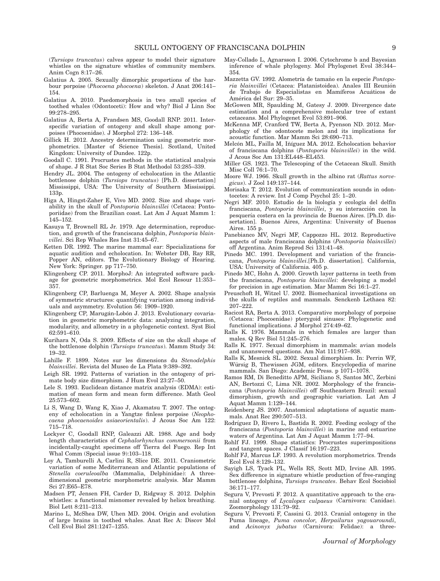(Tursiops truncatus) calves appear to model their signature whistles on the signature whistles of community members. Anim Cogn 8:17–26.

- Galatius A. 2005. Sexually dimorphic proportions of the harbour porpoise (Phocoena phocoena) skeleton. J Anat 206:141– 154.
- Galatius A. 2010. Paedomorphosis in two small species of toothed whales (Odontoceti): How and why? Biol J Linn Soc 99:278–295.
- Galatius A, Berta A, Frandsen MS, Goodall RNP. 2011. Interspecific variation of ontogeny and skull shape among porpoises (Phocoenidae). J Morphol 272: 136–148.
- Gillick H. 2012. Ancestry determination using geometric morphometrics. [Master of Science Thesis]. Scotland, United Kingdom: University of Dundee. 122p.
- Goodall C. 1991. Procrustes methods in the statistical analysis of shape. J R Stat Soc Series B Stat Methodol 53:285–339.
- Hendry JL. 2004. The ontogeny of echolocation in the Atlantic bottlenose dolphin (Tursiops truncatus) [Ph.D. dissertation] Mississippi, USA: The University of Southern Mississippi. 133p.
- Higa A, Hingst-Zaher E, Vivo MD. 2002. Size and shape variability in the skull of Pontoporia blainvillei (Cetacea: Pontoporiidae) from the Brazilian coast. Lat Am J Aquat Mamm 1: 145–152.
- Kasuya T, Brownell RL Jr. 1979. Age determination, reproduction, and growth of the franciscana dolphin, Pontoporia blainvillei. Sci Rep Whales Res Inst 31:45–67.
- Ketten DR. 1992. The marine mammal ear: Specializations for aquatic audition and echolocation. In: Webster DB, Ray RR, Popper AN, editors. The Evolutionary Biology of Hearing. New York: Springer. pp 717–750.
- Klingenberg CP. 2011. MorphoJ: An integrated software package for geometric morphometrics. Mol Ecol Resour 11:353– 357.
- Klingenberg CP, Barluenga M, Meyer A. 2002. Shape analysis of symmetric structures: quantifying variation among individuals and asymmetry. Evolution 56: 1909–1920.
- Klingenberg CP, Marugán-Lobón J. 2013. Evolutionary covariation in geometric morphometric data: analyzing integration, modularity, and allometry in a phylogenetic context. Syst Biol 62:591–610.
- Kurihara N, Oda S. 2009. Effects of size on the skull shape of the bottlenose dolphin (Tursiops truncatus). Mamm Study 34: 19–32.
- Lahille F. 1899. Notes sur les dimensions du Stenodelphis blainvillei. Revista del Museo de La Plata 9:389–392.
- Leigh SR. 1992. Patterns of variation in the ontogeny of primate body size dimorphism. J Hum Evol 23:27–50.
- Lele S. 1993. Euclidean distance matrix analysis (EDMA): estimation of mean form and mean form difference. Math Geol 25:573–602.
- Li S, Wang D, Wang K, Xiao J, Akamatsu T. 2007. The ontogeny of echolocation in a Yangtze finless porpoise (Neophocaena phocaenoides asiaeorientalis). J Acous Soc Am 122: 715–718.
- Lockyer C, Goodall RNP, Galeazzi AR. 1988. Age and body length characteristics of Cephalorhynchus commersonii from incidentally-caught specimens off Tierra del Fuego. Rep Int Whal Comm (Special issue 9):103–118.
- Loy A, Tamburelli A, Carlini R, Slice DE. 2011. Craniometric variation of some Mediterranean and Atlantic populations of Stenella coeruleoalba (Mammalia, Delphinidae): A threedimensional geometric morphometric analysis. Mar Mamm Sci 27:E65–E78.
- Madsen PT, Jensen FH, Carder D, Ridgway S. 2012. Dolphin whistles: a functional misnomer revealed by heliox breathing. Biol Lett 8:211–213.
- Marino L, McShea DW, Uhen MD. 2004. Origin and evolution of large brains in toothed whales. Anat Rec A: Discov Mol Cell Evol Biol 281:1247–1255.
- May-Collado L, Agnarsson I. 2006. Cytochrome b and Bayesian inference of whale phylogeny. Mol Phylogenet Evol 38:344– 354.
- Mazzetta GV. 1992. Alometría de tamaño en la especie Pontoporia blainvillei (Cetacea: Platanistoidea). Anales III Reunión de Trabajo de Especialistas en Mamíferos Acuáticos de América del Sur: 29–35.
- McGowen MR, Spaulding M, Gatesy J. 2009. Divergence date estimation and a comprehensive molecular tree of extant cetaceans. Mol Phylogenet Evol 53:891–906.
- McKenna MF, Cranford TW, Berta A, Pyenson ND. 2012. Morphology of the odontocete melon and its implications for acoustic function. Mar Mamm Sci 28:690–713.
- Melcón ML, Failla M, Iñíguez MA. 2012. Echolocation behavior of franciscana dolphins (Pontoporia blainvillei) in the wild. J Acous Soc Am 131:EL448–EL453.
- Miller GS. 1923. The Telescoping of the Cetacean Skull. Smith Misc Coll 76:1–70.
- Moore WJ. 1966. Skull growth in the albino rat (Rattus norvegicus). J Zool 149:137–144.
- Morisaka T. 2012. Evolution of communication sounds in odontocetes: A review. Int J Comp Psychol 25: 1–20.
- Negri MF. 2010. Estudio de la biología y ecología del delfín franciscana, Pontoporia blainvillei, y su interacción con la pesquería costera en la provincia de Buenos Aires. [Ph.D. dissertation]. Buenos Aires, Argentina: University of Buenos Aires. 155 p.
- Panebianco MV, Negri MF, Cappozzo HL. 2012. Reproductive aspects of male franciscana dolphins (Pontoporia blainvillei) off Argentina. Anim Reprod Sci 131:41–48.
- Pinedo MC. 1991. Development and variation of the franciscana, Pontoporia blainvillei.[Ph.D. dissertation]. California, USA: University of California. 405 p.
- Pinedo MC, Hohn A. 2000. Growth layer patterns in teeth from the franciscana, Pontoporia blainvillei: developing a model for precision in age estimation. Mar Mamm Sci 16:1–27.
- Preuschoft H, Witzel U. 2002. Biomechanical investigations on the skulls of reptiles and mammals. Senckenb Lethaea 82: 207–222.
- Racicot RA, Berta A. 2013. Comparative morphology of porpoise (Cetacea: Phocoenidae) pterygoid sinuses: Phylogenetic and functional implications. J Morphol 274:49–62.
- Ralls K. 1976. Mammals in which females are larger than males. Q Rev Biol 51:245–276.
- Ralls K. 1977. Sexual dimorphism in mammals: avian models and unanswered questions. Am Nat 111:917–938.
- Ralls K, Mesnick SL. 2002. Sexual dimorphism. In: Perrin WF, Würsig B, Thewissen JGM, editors. Encyclopedia of marine mammals. San Diego: Academic Press. p 1071–1078.
- Ramos RM, Di Beneditto APM, Siciliano S, Santos MC, Zerbini AN, Bertozzi C, Lima NR. 2002. Morphology of the franciscana (Pontoporia blainvillei) off Southeastern Brazil: sexual dimorphism, growth and geographic variation. Lat Am J Aquat Mamm 1:129–144.
- Reidenberg JS. 2007. Anatomical adaptations of aquatic mammals. Anat Rec 290:507–513.
- Rodríguez D, Rivero L, Bastida R. 2002. Feeding ecology of the franciscana (Pontoporia blainvillei) in marine and estuarine waters of Argentina. Lat Am J Aquat Mamm 1:77–94.
- Rohlf FJ. 1999. Shape statistics: Procrustes superimpositions and tangent spaces. J Classif 16:197–223.
- Rohlf FJ, Marcus LF. 1993. A revolution morphometrics. Trends Ecol Evol 8:129–132.
- Sayigh LS, Tyack PL, Wells RS, Scott MD, Irvine AB. 1995. Sex difference in signature whistle production of free-ranging bottlenose dolphins, Tursiops truncates. Behav Ecol Sociobiol 36:171–177.
- Segura V, Prevosti F. 2012. A quantitative approach to the cranial ontogeny of Lycalopex culpaeus (Carnivora: Canidae). Zoomorphology 131:79–92.
- Segura V, Prevosti F, Cassini G. 2013. Cranial ontogeny in the Puma lineage, Puma concolor, Herpailurus yagouaroundi, and Acinonyx jubatus (Carnivora: Felidae): a three-